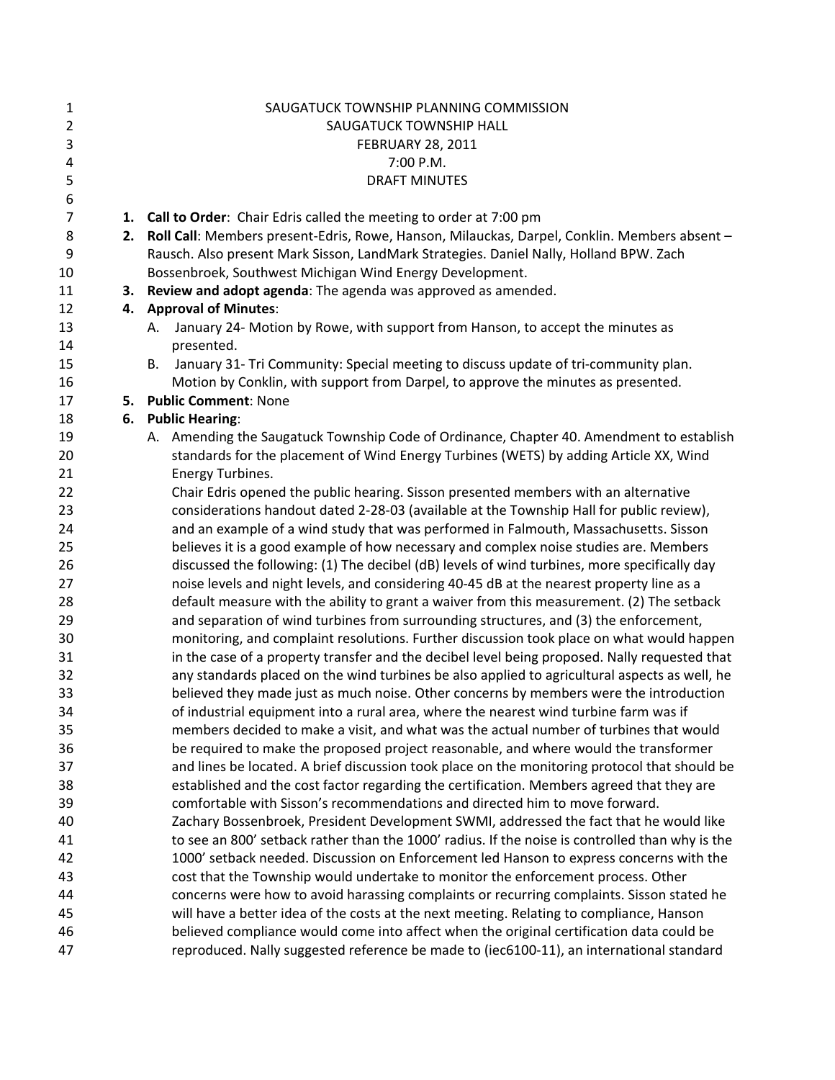| $\mathbf{1}$   |    | SAUGATUCK TOWNSHIP PLANNING COMMISSION                                                                  |
|----------------|----|---------------------------------------------------------------------------------------------------------|
| $\overline{2}$ |    | SAUGATUCK TOWNSHIP HALL                                                                                 |
| $\mathsf 3$    |    | <b>FEBRUARY 28, 2011</b>                                                                                |
| 4              |    | 7:00 P.M.                                                                                               |
| 5              |    | <b>DRAFT MINUTES</b>                                                                                    |
| 6              |    |                                                                                                         |
| $\overline{7}$ |    | 1. Call to Order: Chair Edris called the meeting to order at 7:00 pm                                    |
| 8              | 2. | Roll Call: Members present-Edris, Rowe, Hanson, Milauckas, Darpel, Conklin. Members absent -            |
| 9              |    | Rausch. Also present Mark Sisson, LandMark Strategies. Daniel Nally, Holland BPW. Zach                  |
| 10             |    | Bossenbroek, Southwest Michigan Wind Energy Development.                                                |
| 11             | 3. | Review and adopt agenda: The agenda was approved as amended.                                            |
| 12             |    | 4. Approval of Minutes:                                                                                 |
| 13             |    | January 24- Motion by Rowe, with support from Hanson, to accept the minutes as<br>А.                    |
| 14             |    | presented.                                                                                              |
| 15             |    | January 31- Tri Community: Special meeting to discuss update of tri-community plan.<br>В.               |
| 16             |    | Motion by Conklin, with support from Darpel, to approve the minutes as presented.                       |
| 17             | 5. | <b>Public Comment: None</b>                                                                             |
| 18             | 6. | <b>Public Hearing:</b>                                                                                  |
| 19             |    | A. Amending the Saugatuck Township Code of Ordinance, Chapter 40. Amendment to establish                |
| 20             |    | standards for the placement of Wind Energy Turbines (WETS) by adding Article XX, Wind                   |
| 21             |    | Energy Turbines.<br>Chair Edris opened the public hearing. Sisson presented members with an alternative |
| 22<br>23       |    | considerations handout dated 2-28-03 (available at the Township Hall for public review),                |
| 24             |    | and an example of a wind study that was performed in Falmouth, Massachusetts. Sisson                    |
| 25             |    | believes it is a good example of how necessary and complex noise studies are. Members                   |
| 26             |    | discussed the following: (1) The decibel (dB) levels of wind turbines, more specifically day            |
| 27             |    | noise levels and night levels, and considering 40-45 dB at the nearest property line as a               |
| 28             |    | default measure with the ability to grant a waiver from this measurement. (2) The setback               |
| 29             |    | and separation of wind turbines from surrounding structures, and (3) the enforcement,                   |
| 30             |    | monitoring, and complaint resolutions. Further discussion took place on what would happen               |
| 31             |    | in the case of a property transfer and the decibel level being proposed. Nally requested that           |
| 32             |    | any standards placed on the wind turbines be also applied to agricultural aspects as well, he           |
| 33             |    | believed they made just as much noise. Other concerns by members were the introduction                  |
| 34             |    | of industrial equipment into a rural area, where the nearest wind turbine farm was if                   |
| 35             |    | members decided to make a visit, and what was the actual number of turbines that would                  |
| 36             |    | be required to make the proposed project reasonable, and where would the transformer                    |
| 37             |    | and lines be located. A brief discussion took place on the monitoring protocol that should be           |
| 38             |    | established and the cost factor regarding the certification. Members agreed that they are               |
| 39             |    | comfortable with Sisson's recommendations and directed him to move forward.                             |
| 40             |    | Zachary Bossenbroek, President Development SWMI, addressed the fact that he would like                  |
| 41             |    | to see an 800' setback rather than the 1000' radius. If the noise is controlled than why is the         |
| 42             |    | 1000' setback needed. Discussion on Enforcement led Hanson to express concerns with the                 |
| 43             |    | cost that the Township would undertake to monitor the enforcement process. Other                        |
| 44             |    | concerns were how to avoid harassing complaints or recurring complaints. Sisson stated he               |
| 45             |    | will have a better idea of the costs at the next meeting. Relating to compliance, Hanson                |
| 46             |    | believed compliance would come into affect when the original certification data could be                |
| 47             |    | reproduced. Nally suggested reference be made to (iec6100-11), an international standard                |